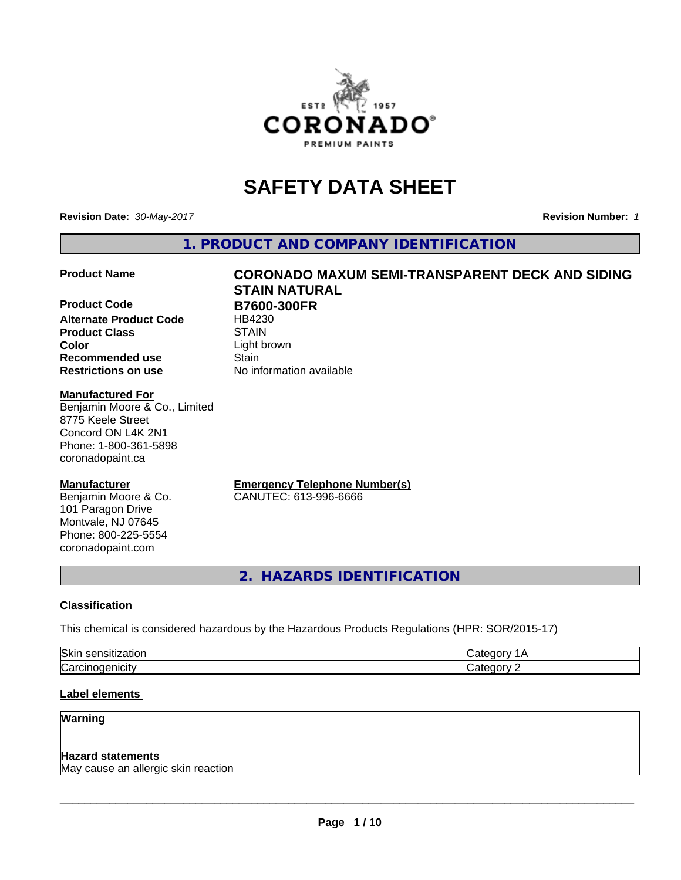

## **SAFETY DATA SHEET**

**Revision Date:** *30-May-2017* **Revision Number:** *1*

**1. PRODUCT AND COMPANY IDENTIFICATION**

**Product Code B7600-300FR**<br>Alternate Product Code HB4230 **Alternate Product Code Product Class STAIN**<br> **Color** Light b **Recommended use Stain** 

#### **Manufactured For**

Benjamin Moore & Co., Limited 8775 Keele Street Concord ON L4K 2N1 Phone: 1-800-361-5898 coronadopaint.ca

#### **Manufacturer**

Benjamin Moore & Co. 101 Paragon Drive Montvale, NJ 07645 Phone: 800-225-5554 coronadopaint.com

# **Product Name CORONADO MAXUM SEMI-TRANSPARENT DECK AND SIDING STAIN NATURAL**

Light brown **Restrictions on use** No information available

> **Emergency Telephone Number(s)** CANUTEC: 613-996-6666

**2. HAZARDS IDENTIFICATION**

#### **Classification**

This chemical is considered hazardous by the Hazardous Products Regulations (HPR: SOR/2015-17)

| <b>Skir</b><br>≤auor<br>יר. | - - - |
|-----------------------------|-------|
| $\sim$                      | - - - |

#### **Label elements**

#### **Warning**

#### **Hazard statements**

May cause an allergic skin reaction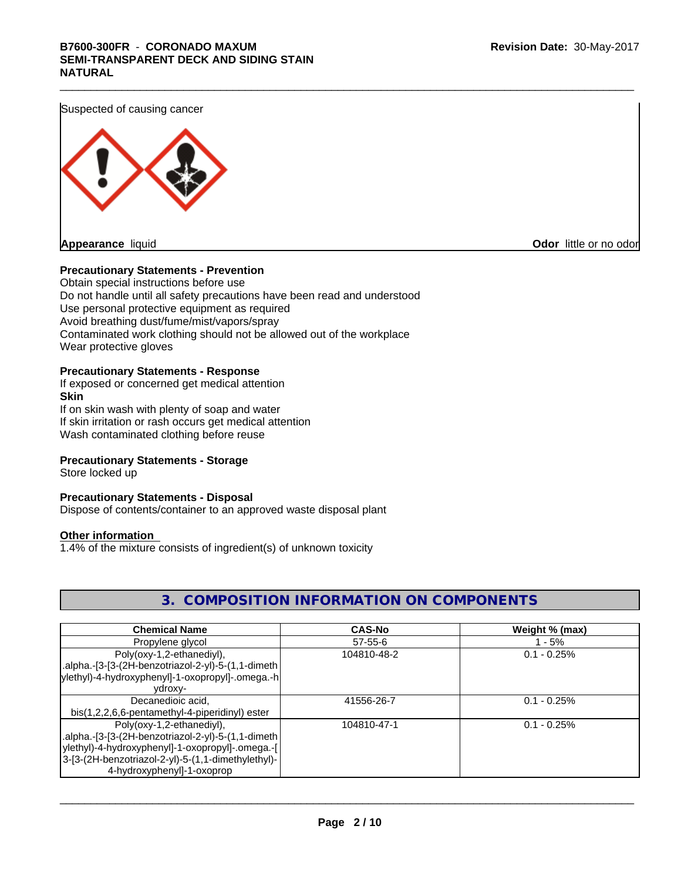## \_\_\_\_\_\_\_\_\_\_\_\_\_\_\_\_\_\_\_\_\_\_\_\_\_\_\_\_\_\_\_\_\_\_\_\_\_\_\_\_\_\_\_\_\_\_\_\_\_\_\_\_\_\_\_\_\_\_\_\_\_\_\_\_\_\_\_\_\_\_\_\_\_\_\_\_\_\_\_\_\_\_\_\_\_\_\_\_\_\_\_\_\_ **B7600-300FR** - **CORONADO MAXUM SEMI-TRANSPARENT DECK AND SIDING STAIN NATURAL**

Suspected of causing cancer



**Appearance** liquid

**Odor** little or no odor

#### **Precautionary Statements - Prevention**

Obtain special instructions before use Do not handle until all safety precautions have been read and understood Use personal protective equipment as required Avoid breathing dust/fume/mist/vapors/spray Contaminated work clothing should not be allowed out of the workplace Wear protective gloves

#### **Precautionary Statements - Response**

If exposed or concerned get medical attention **Skin**

If on skin wash with plenty of soap and water If skin irritation or rash occurs get medical attention Wash contaminated clothing before reuse

#### **Precautionary Statements - Storage**

Store locked up

#### **Precautionary Statements - Disposal**

Dispose of contents/container to an approved waste disposal plant

#### **Other information**

1.4% of the mixture consists of ingredient(s) of unknown toxicity

### **3. COMPOSITION INFORMATION ON COMPONENTS**

| <b>Chemical Name</b>                               | <b>CAS-No</b> | Weight % (max) |
|----------------------------------------------------|---------------|----------------|
| Propylene glycol                                   | $57 - 55 - 6$ | $-5%$          |
| Poly(oxy-1,2-ethanediyl),                          | 104810-48-2   | $0.1 - 0.25%$  |
| .alpha.-[3-[3-(2H-benzotriazol-2-yl)-5-(1,1-dimeth |               |                |
| ylethyl)-4-hydroxyphenyl]-1-oxopropyl]-.omega.-h   |               |                |
| vdroxv-                                            |               |                |
| Decanedioic acid,                                  | 41556-26-7    | $0.1 - 0.25\%$ |
| bis(1,2,2,6,6-pentamethyl-4-piperidinyl) ester     |               |                |
| Poly(oxy-1,2-ethanediyl),                          | 104810-47-1   | $0.1 - 0.25\%$ |
| .alpha.-[3-[3-(2H-benzotriazol-2-yl)-5-(1,1-dimeth |               |                |
| ylethyl)-4-hydroxyphenyl]-1-oxopropyl]-.omega.-[   |               |                |
| 3-[3-(2H-benzotriazol-2-yl)-5-(1,1-dimethylethyl)- |               |                |
| 4-hydroxyphenyl]-1-oxoprop                         |               |                |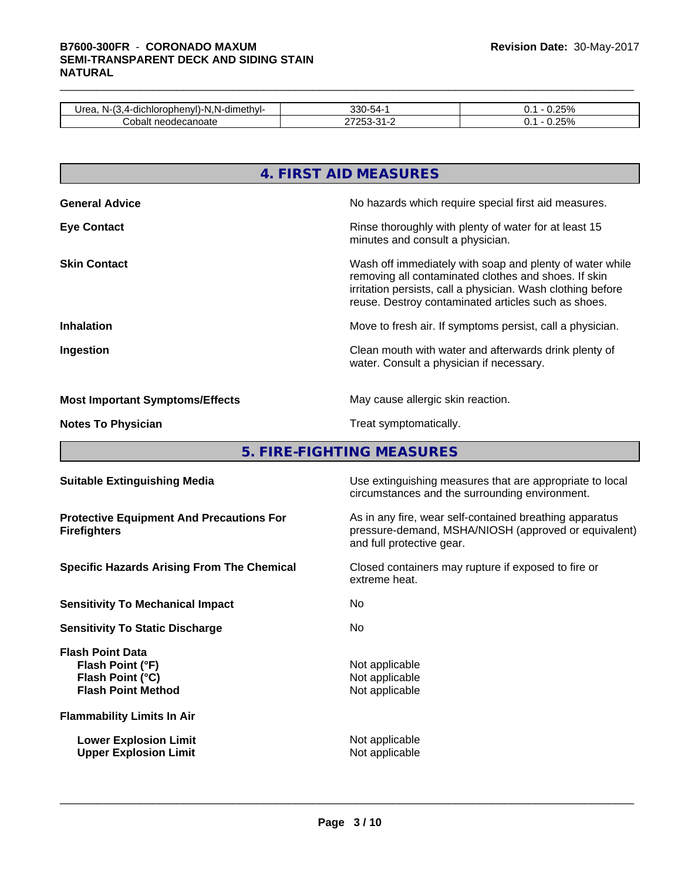## \_\_\_\_\_\_\_\_\_\_\_\_\_\_\_\_\_\_\_\_\_\_\_\_\_\_\_\_\_\_\_\_\_\_\_\_\_\_\_\_\_\_\_\_\_\_\_\_\_\_\_\_\_\_\_\_\_\_\_\_\_\_\_\_\_\_\_\_\_\_\_\_\_\_\_\_\_\_\_\_\_\_\_\_\_\_\_\_\_\_\_\_\_ **B7600-300FR** - **CORONADO MAXUM SEMI-TRANSPARENT DECK AND SIDING STAIN NATURAL**

| $\cdot$ .<br>Jrea<br>I.N-dimethvl-<br>.nlorophenvI)-N<br>N-<br>-<br>- - -<br>.<br>ישי<br>. . | ົິ<br>-<br>- 1<br>$\sim$ $\sim$ $\sim$<br>uu | 0.50<br>ັ. |  |
|----------------------------------------------------------------------------------------------|----------------------------------------------|------------|--|
| neodecanoate<br>`ob<br>التات<br>, au                                                         |                                              | 250/       |  |

|                                        | 4. FIRST AID MEASURES                                                                                                                                                                                                                  |
|----------------------------------------|----------------------------------------------------------------------------------------------------------------------------------------------------------------------------------------------------------------------------------------|
| <b>General Advice</b>                  | No hazards which require special first aid measures.                                                                                                                                                                                   |
| <b>Eye Contact</b>                     | Rinse thoroughly with plenty of water for at least 15<br>minutes and consult a physician.                                                                                                                                              |
| <b>Skin Contact</b>                    | Wash off immediately with soap and plenty of water while<br>removing all contaminated clothes and shoes. If skin<br>irritation persists, call a physician. Wash clothing before<br>reuse. Destroy contaminated articles such as shoes. |
| <b>Inhalation</b>                      | Move to fresh air. If symptoms persist, call a physician.                                                                                                                                                                              |
| Ingestion                              | Clean mouth with water and afterwards drink plenty of<br>water. Consult a physician if necessary.                                                                                                                                      |
| <b>Most Important Symptoms/Effects</b> | May cause allergic skin reaction.                                                                                                                                                                                                      |
| <b>Notes To Physician</b>              | Treat symptomatically.                                                                                                                                                                                                                 |

**5. FIRE-FIGHTING MEASURES**

| <b>Suitable Extinguishing Media</b>                                                          | Use extinguishing measures that are appropriate to local<br>circumstances and the surrounding environment.                                   |
|----------------------------------------------------------------------------------------------|----------------------------------------------------------------------------------------------------------------------------------------------|
| <b>Protective Equipment And Precautions For</b><br><b>Firefighters</b>                       | As in any fire, wear self-contained breathing apparatus<br>pressure-demand, MSHA/NIOSH (approved or equivalent)<br>and full protective gear. |
| <b>Specific Hazards Arising From The Chemical</b>                                            | Closed containers may rupture if exposed to fire or<br>extreme heat.                                                                         |
| <b>Sensitivity To Mechanical Impact</b>                                                      | No.                                                                                                                                          |
| <b>Sensitivity To Static Discharge</b>                                                       | No.                                                                                                                                          |
| <b>Flash Point Data</b><br>Flash Point (°F)<br>Flash Point (°C)<br><b>Flash Point Method</b> | Not applicable<br>Not applicable<br>Not applicable                                                                                           |
| <b>Flammability Limits In Air</b>                                                            |                                                                                                                                              |
| <b>Lower Explosion Limit</b><br><b>Upper Explosion Limit</b>                                 | Not applicable<br>Not applicable                                                                                                             |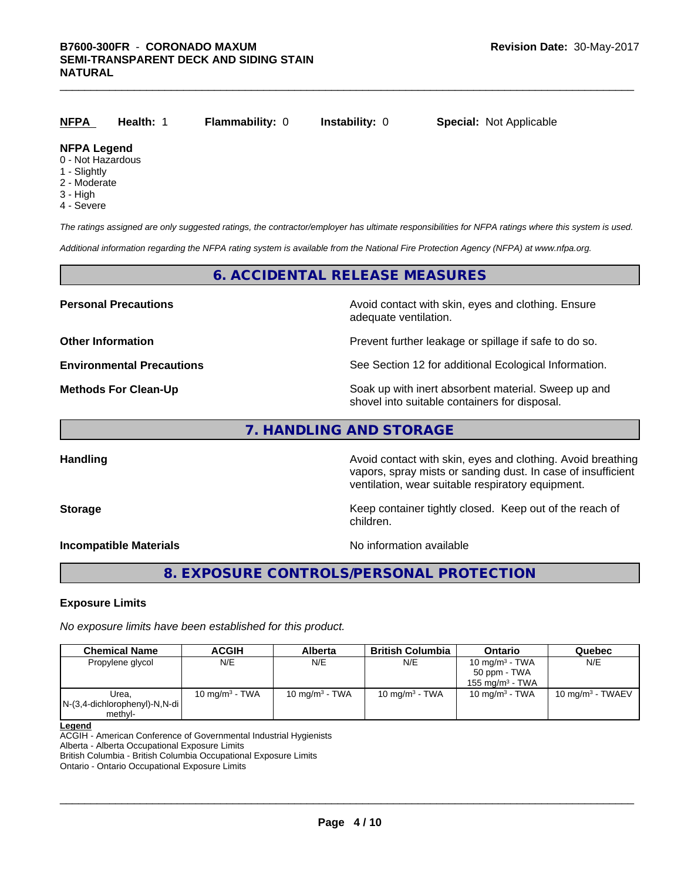## **NFPA Health:** 1 **Flammability:** 0 **Instability:** 0 **Special:** Not Applicable

#### **NFPA Legend**

- 0 Not Hazardous
- 1 Slightly
- 2 Moderate
- 3 High
- 4 Severe

*The ratings assigned are only suggested ratings, the contractor/employer has ultimate responsibilities for NFPA ratings where this system is used.*

*Additional information regarding the NFPA rating system is available from the National Fire Protection Agency (NFPA) at www.nfpa.org.*

#### **6. ACCIDENTAL RELEASE MEASURES**

**Personal Precautions Avoid contact with skin, eyes and clothing. Ensure** Avoid contact with skin, eyes and clothing. Ensure adequate ventilation.

**Other Information Discription Prevent further leakage or spillage if safe to do so.** 

**Environmental Precautions** See Section 12 for additional Ecological Information.

**Methods For Clean-Up Example 20 All 20 All 20 All 20 All 20 All 20 All 20 All 20 All 20 All 20 All 20 All 20 All 20 All 20 All 20 All 20 All 20 All 20 All 20 All 20 All 20 All 20 All 20 All 20 All 20 All 20 All 20 All 2** shovel into suitable containers for disposal.

### **7. HANDLING AND STORAGE**

**Handling Handling Avoid contact with skin, eyes and clothing. Avoid breathing** vapors, spray mists or sanding dust. In case of insufficient ventilation, wear suitable respiratory equipment.

**Storage Keep container tightly closed.** Keep out of the reach of children.

**Incompatible Materials** Nointernal Compatible Materials

 $\overline{\phantom{a}}$  ,  $\overline{\phantom{a}}$  ,  $\overline{\phantom{a}}$  ,  $\overline{\phantom{a}}$  ,  $\overline{\phantom{a}}$  ,  $\overline{\phantom{a}}$  ,  $\overline{\phantom{a}}$  ,  $\overline{\phantom{a}}$  ,  $\overline{\phantom{a}}$  ,  $\overline{\phantom{a}}$  ,  $\overline{\phantom{a}}$  ,  $\overline{\phantom{a}}$  ,  $\overline{\phantom{a}}$  ,  $\overline{\phantom{a}}$  ,  $\overline{\phantom{a}}$  ,  $\overline{\phantom{a}}$ 

#### **8. EXPOSURE CONTROLS/PERSONAL PROTECTION**

#### **Exposure Limits**

*No exposure limits have been established for this product.*

| <b>Chemical Name</b>               | ACGIH             | <b>Alberta</b>    | <b>British Columbia</b> | Ontario            | Quebec              |
|------------------------------------|-------------------|-------------------|-------------------------|--------------------|---------------------|
| Propylene glycol                   | N/E               | N/E               | N/E                     | 10 mg/m $3$ - TWA  | N/E                 |
|                                    |                   |                   |                         | 50 ppm - TWA       |                     |
|                                    |                   |                   |                         | 155 mg/m $3$ - TWA |                     |
| Urea.                              | 10 mg/m $3$ - TWA | 10 mg/m $3$ - TWA | 10 mg/m $3$ - TWA       | 10 mg/m $3$ - TWA  | 10 mg/m $3$ - TWAEV |
| $ N-(3,4-dichloropheny) - N,N-di $ |                   |                   |                         |                    |                     |
| methyl-                            |                   |                   |                         |                    |                     |

**Legend**

ACGIH - American Conference of Governmental Industrial Hygienists

Alberta - Alberta Occupational Exposure Limits

British Columbia - British Columbia Occupational Exposure Limits

Ontario - Ontario Occupational Exposure Limits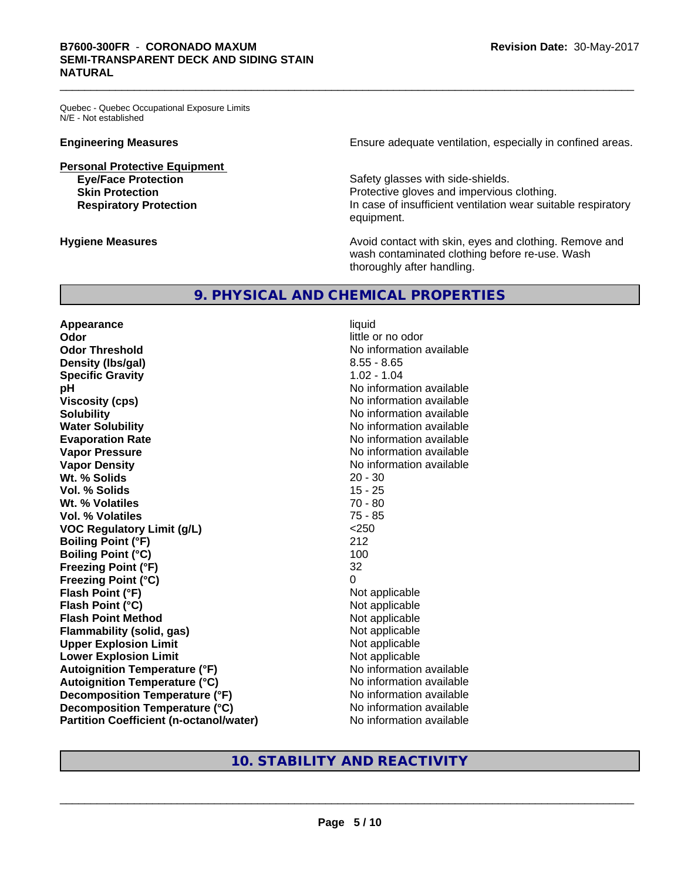Quebec - Quebec Occupational Exposure Limits N/E - Not established

**Personal Protective Equipment**

**Engineering Measures Ensure** Ensure adequate ventilation, especially in confined areas.

**Eye/Face Protection** Safety glasses with side-shields. **Skin Protection Protection Protective gloves and impervious clothing. Respiratory Protection In case of insufficient ventilation wear suitable respiratory** equipment.

**Hygiene Measures Avoid contact with skin, eyes and clothing. Remove and Hygiene Measures** and clothing. Remove and wash contaminated clothing before re-use. Wash thoroughly after handling.

#### **9. PHYSICAL AND CHEMICAL PROPERTIES**

**Appearance** liquid **Odor** little or no odor **Odor Threshold No information available No information available Density (Ibs/gal)** 8.55 - 8.65 **Specific Gravity** 1.02 - 1.04 **pH** No information available **Viscosity (cps)** No information available **Solubility No information available No information available Water Solubility Water Solubility Water Solubility No information available Evaporation Rate Evaporation Rate No information available Vapor Pressure** No information available **Vapor Density Vapor Density No information available Wt. % Solids** 20 - 30 **Vol. % Solids** 15 - 25 **Wt. % Volatiles** 70 - 80 **Vol. % Volatiles** 75 - 85 **VOC Regulatory Limit (g/L)** <250 **Boiling Point (°F)** 212 **Boiling Point (°C)** 100 **Freezing Point (°F)** 32 **Freezing Point (°C)** 0 **Flash Point (°F)** Not applicable **Flash Point (°C)** Not applicable **Flash Point Method** Not applicable **Flammability (solid, gas)** Not applicable **Upper Explosion Limit** Not applicable **Lower Explosion Limit Not applicable** Not applicable **Autoignition Temperature (°F)** No information available **Autoignition Temperature (°C)** No information available **Decomposition Temperature (°F)** No information available **Decomposition Temperature (°C)** No information available **Partition Coefficient (n-octanol/water)** No information available

#### **10. STABILITY AND REACTIVITY**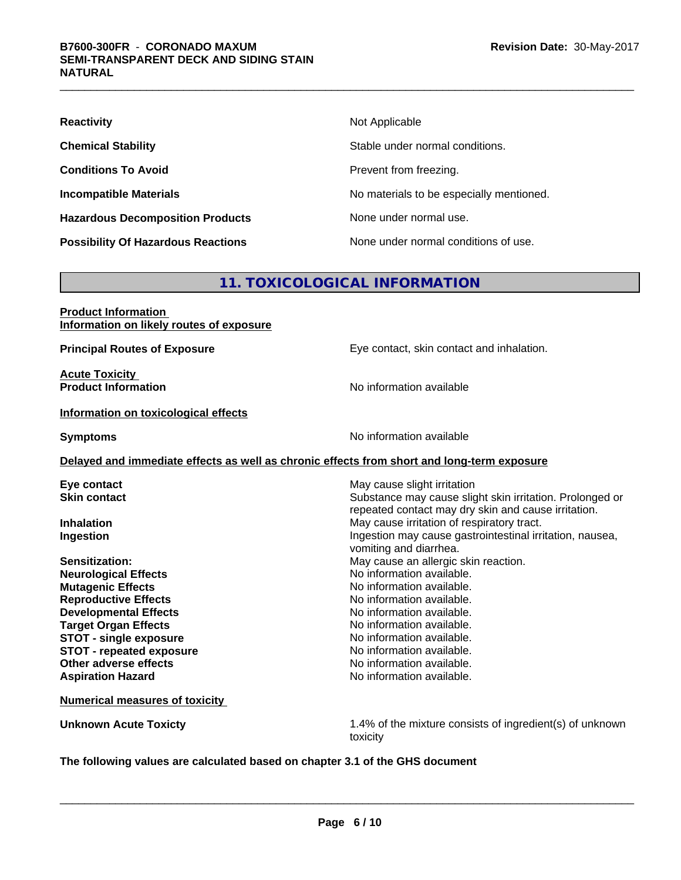| <b>Reactivity</b>                         | Not Applicable                           |
|-------------------------------------------|------------------------------------------|
| <b>Chemical Stability</b>                 | Stable under normal conditions.          |
| <b>Conditions To Avoid</b>                | Prevent from freezing.                   |
| <b>Incompatible Materials</b>             | No materials to be especially mentioned. |
| <b>Hazardous Decomposition Products</b>   | None under normal use.                   |
| <b>Possibility Of Hazardous Reactions</b> | None under normal conditions of use.     |

#### **11. TOXICOLOGICAL INFORMATION**

| <b>Product Information</b><br>Information on likely routes of exposure                     |                                                                                                                 |
|--------------------------------------------------------------------------------------------|-----------------------------------------------------------------------------------------------------------------|
| <b>Principal Routes of Exposure</b>                                                        | Eye contact, skin contact and inhalation.                                                                       |
| <b>Acute Toxicity</b><br><b>Product Information</b>                                        | No information available                                                                                        |
| Information on toxicological effects                                                       |                                                                                                                 |
| <b>Symptoms</b>                                                                            | No information available                                                                                        |
| Delayed and immediate effects as well as chronic effects from short and long-term exposure |                                                                                                                 |
| Eye contact                                                                                | May cause slight irritation                                                                                     |
| <b>Skin contact</b>                                                                        | Substance may cause slight skin irritation. Prolonged or<br>repeated contact may dry skin and cause irritation. |
| <b>Inhalation</b>                                                                          | May cause irritation of respiratory tract.                                                                      |
| Ingestion                                                                                  | Ingestion may cause gastrointestinal irritation, nausea,<br>vomiting and diarrhea.                              |
| Sensitization:                                                                             | May cause an allergic skin reaction.                                                                            |
| <b>Neurological Effects</b>                                                                | No information available.                                                                                       |
| <b>Mutagenic Effects</b>                                                                   | No information available.                                                                                       |
| <b>Reproductive Effects</b>                                                                | No information available.                                                                                       |
| <b>Developmental Effects</b>                                                               | No information available.                                                                                       |
| <b>Target Organ Effects</b>                                                                | No information available.                                                                                       |
| <b>STOT - single exposure</b>                                                              | No information available.                                                                                       |
| <b>STOT - repeated exposure</b>                                                            | No information available.                                                                                       |
| Other adverse effects                                                                      | No information available.                                                                                       |
| <b>Aspiration Hazard</b>                                                                   | No information available.                                                                                       |
| <b>Numerical measures of toxicity</b>                                                      |                                                                                                                 |
| <b>Unknown Acute Toxicty</b>                                                               | 1.4% of the mixture consists of ingredient(s) of unknown<br>toxicity                                            |
|                                                                                            |                                                                                                                 |

**The following values are calculated based on chapter 3.1 of the GHS document**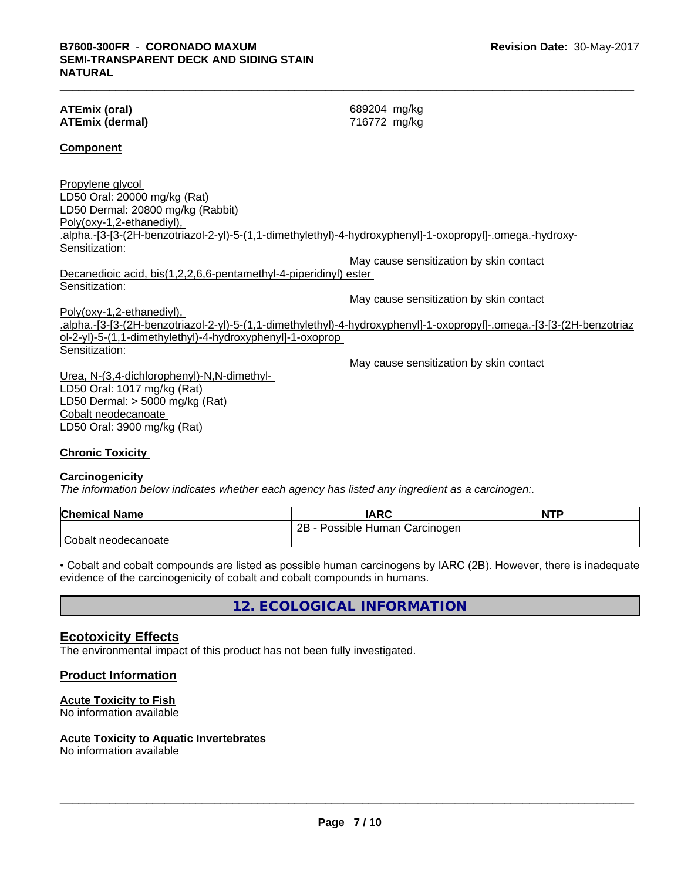#### **ATEmix (oral)** 689204 mg/kg **ATEmix (dermal)**

#### **Component**

Propylene glycol LD50 Oral: 20000 mg/kg (Rat) LD50 Dermal: 20800 mg/kg (Rabbit) Poly(oxy-1,2-ethanediyl), .alpha.-[3-[3-(2H-benzotriazol-2-yl)-5-(1,1-dimethylethyl)-4-hydroxyphenyl]-1-oxopropyl]-.omega.-hydroxy- Sensitization:

May cause sensitization by skin contact Decanedioic acid, bis(1,2,2,6,6-pentamethyl-4-piperidinyl) ester Sensitization:

May cause sensitization by skin contact Poly(oxy-1,2-ethanediyl), .alpha.-[3-[3-(2H-benzotriazol-2-yl)-5-(1,1-dimethylethyl)-4-hydroxyphenyl]-1-oxopropyl]-.omega.-[3-[3-(2H-benzotriaz ol-2-yl)-5-(1,1-dimethylethyl)-4-hydroxyphenyl]-1-oxoprop Sensitization:

May cause sensitization by skin contact

Urea, N-(3,4-dichlorophenyl)-N,N-dimethyl- LD50 Oral: 1017 mg/kg (Rat) LD50 Dermal: > 5000 mg/kg (Rat) Cobalt neodecanoate LD50 Oral: 3900 mg/kg (Rat)

#### **Chronic Toxicity**

#### **Carcinogenicity**

*The information below indicateswhether each agency has listed any ingredient as a carcinogen:.*

| <b>Chemical Name</b> | <b>IARC</b>                     | <b>NTP</b> |
|----------------------|---------------------------------|------------|
|                      | 2B<br>Possible Human Carcinogen |            |
| Cobalt neodecanoate  |                                 |            |

• Cobalt and cobalt compounds are listed as possible human carcinogens by IARC (2B). However, there is inadequate evidence of the carcinogenicity of cobalt and cobalt compounds in humans.

**12. ECOLOGICAL INFORMATION**

#### **Ecotoxicity Effects**

The environmental impact of this product has not been fully investigated.

#### **Product Information**

#### **Acute Toxicity to Fish**

No information available

#### **Acute Toxicity to Aquatic Invertebrates**

No information available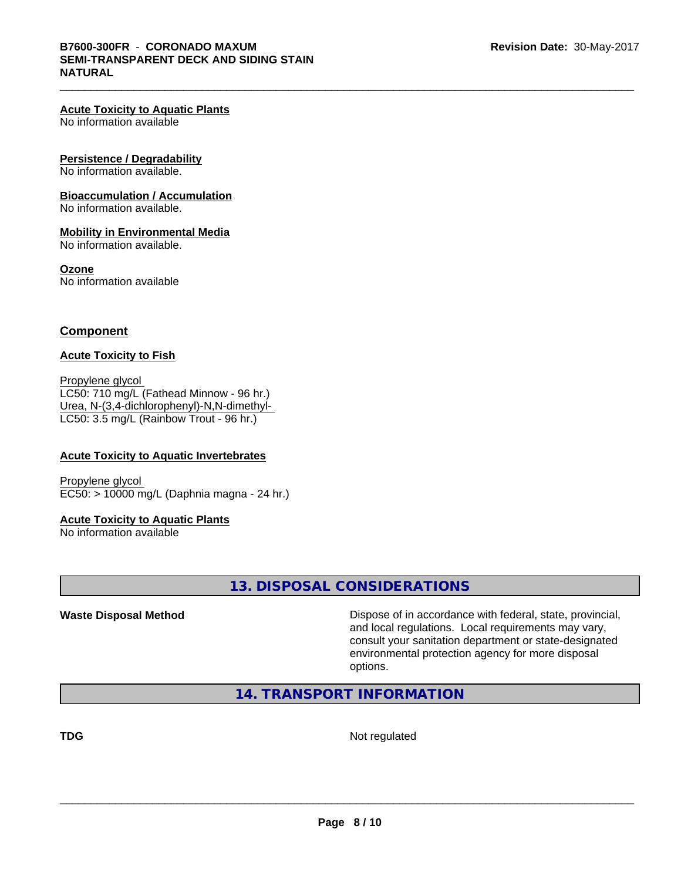#### **Acute Toxicity to Aquatic Plants**

No information available

#### **Persistence / Degradability**

No information available.

#### **Bioaccumulation / Accumulation**

No information available.

#### **Mobility in Environmental Media**

No information available.

#### **Ozone**

No information available

#### **Component**

#### **Acute Toxicity to Fish**

Propylene glycol LC50: 710 mg/L (Fathead Minnow - 96 hr.) Urea, N-(3,4-dichlorophenyl)-N,N-dimethyl- LC50: 3.5 mg/L (Rainbow Trout - 96 hr.)

#### **Acute Toxicity to Aquatic Invertebrates**

Propylene glycol EC50: > 10000 mg/L (Daphnia magna - 24 hr.)

#### **Acute Toxicity to Aquatic Plants**

No information available

#### **13. DISPOSAL CONSIDERATIONS**

**Waste Disposal Method Dispose of in accordance with federal, state, provincial,** and local regulations. Local requirements may vary, consult your sanitation department or state-designated environmental protection agency for more disposal options.

#### **14. TRANSPORT INFORMATION**

**TDG** Not regulated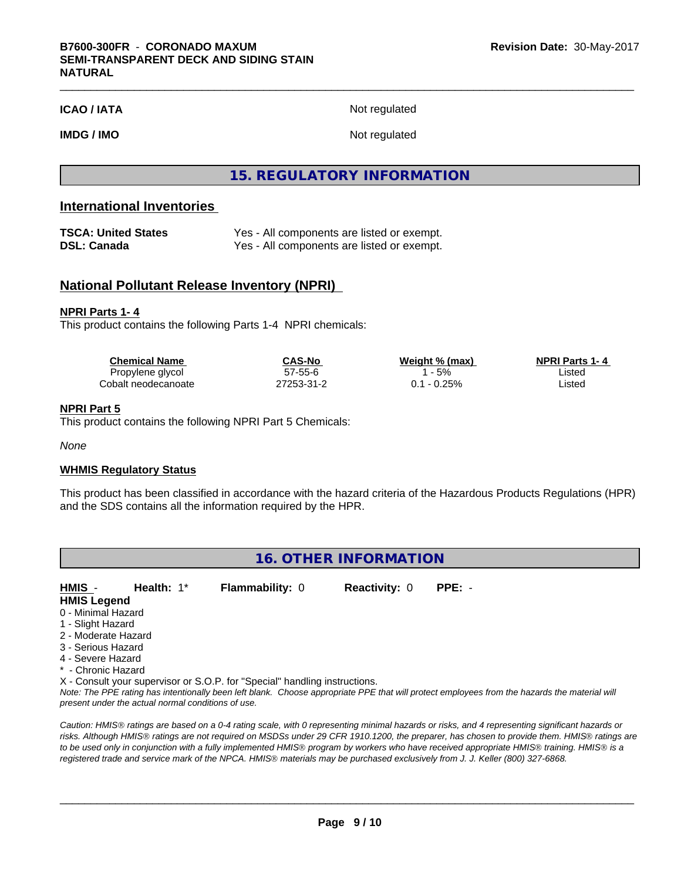**ICAO / IATA** Not regulated

**IMDG / IMO** Not regulated

#### **15. REGULATORY INFORMATION**

#### **International Inventories**

| TSCA: United States | Yes - All components are listed or exempt. |
|---------------------|--------------------------------------------|
| DSL: Canada         | Yes - All components are listed or exempt. |

#### **National Pollutant Release Inventory (NPRI)**

#### **NPRI Parts 1- 4**

This product contains the following Parts 1-4 NPRI chemicals:

| <b>Chemical Name</b> | <b>CAS-No</b> | Weight % (max) | <b>NPRI Parts 1-4</b> |  |
|----------------------|---------------|----------------|-----------------------|--|
| Propylene glycol     | 57-55-6       | 5%             | Listed                |  |
| Cobalt neodecanoate  | 27253-31-2    | $-0.25%$       | Listed                |  |

#### **NPRI Part 5**

This product contains the following NPRI Part 5 Chemicals:

*None*

#### **WHMIS Regulatory Status**

This product has been classified in accordance with the hazard criteria of the Hazardous Products Regulations (HPR) and the SDS contains all the information required by the HPR.

|                     |                                                    |                                                                            | 16. OTHER INFORMATION |                                                                                                                                                 |
|---------------------|----------------------------------------------------|----------------------------------------------------------------------------|-----------------------|-------------------------------------------------------------------------------------------------------------------------------------------------|
| HMIS -              | Health: $1^*$                                      | Flammability: 0                                                            | <b>Reactivity: 0</b>  | $PPE: -$                                                                                                                                        |
| <b>HMIS Legend</b>  |                                                    |                                                                            |                       |                                                                                                                                                 |
| 0 - Minimal Hazard  |                                                    |                                                                            |                       |                                                                                                                                                 |
| 1 - Slight Hazard   |                                                    |                                                                            |                       |                                                                                                                                                 |
| 2 - Moderate Hazard |                                                    |                                                                            |                       |                                                                                                                                                 |
| 3 - Serious Hazard  |                                                    |                                                                            |                       |                                                                                                                                                 |
| 4 - Severe Hazard   |                                                    |                                                                            |                       |                                                                                                                                                 |
| * - Chronic Hazard  |                                                    |                                                                            |                       |                                                                                                                                                 |
|                     |                                                    | X - Consult your supervisor or S.O.P. for "Special" handling instructions. |                       |                                                                                                                                                 |
|                     | present under the actual normal conditions of use. |                                                                            |                       | Note: The PPE rating has intentionally been left blank. Choose appropriate PPE that will protect employees from the hazards the material will   |
|                     |                                                    |                                                                            |                       | Caution: HMIS® ratings are based on a 0-4 rating scale, with 0 representing minimal hazards or risks, and 4 representing significant hazards or |
|                     |                                                    |                                                                            |                       | risks. Although HMIS® ratings are not required on MSDSs under 29 CFR 1910.1200, the preparer, has chosen to provide them. HMIS® ratings are     |
|                     |                                                    |                                                                            |                       | to be used only in conjunction with a fully implemented HMIS® program by workers who have received appropriate HMIS® training. HMIS® is a       |
|                     |                                                    |                                                                            |                       | registered trade and service mark of the NPCA. HMIS® materials may be purchased exclusively from J. J. Keller (800) 327-6868.                   |